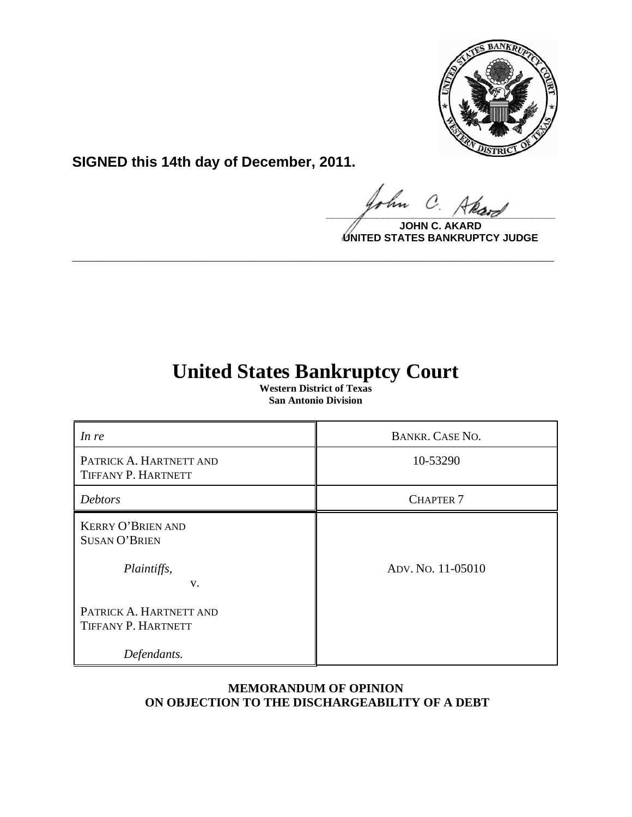

**SIGNED this 14th day of December, 2011.**

hn  $\Omega$  $\frac{1}{\sqrt{1-\frac{1}{2}}\sqrt{1-\frac{1}{2}}\sqrt{1-\frac{1}{2}}\sqrt{1-\frac{1}{2}}\sqrt{1-\frac{1}{2}}\sqrt{1-\frac{1}{2}}\sqrt{1-\frac{1}{2}}\sqrt{1-\frac{1}{2}}\sqrt{1-\frac{1}{2}}\sqrt{1-\frac{1}{2}}\sqrt{1-\frac{1}{2}}\sqrt{1-\frac{1}{2}}\sqrt{1-\frac{1}{2}}\sqrt{1-\frac{1}{2}}\sqrt{1-\frac{1}{2}}\sqrt{1-\frac{1}{2}}\sqrt{1-\frac{1}{2}}\sqrt{1-\frac{1}{2}}\sqrt{1-\frac{1}{2}}\sqrt{1-\frac$ 

**JOHN C. AKARD UNITED STATES BANKRUPTCY JUDGE**

# **United States Bankruptcy Court**

**\_\_\_\_\_\_\_\_\_\_\_\_\_\_\_\_\_\_\_\_\_\_\_\_\_\_\_\_\_\_\_\_\_\_\_\_\_\_\_\_\_\_\_\_\_\_\_\_\_\_\_\_\_\_\_\_\_\_\_\_**

**Western District of Texas San Antonio Division**

| In re                                                                 | <b>BANKR. CASE NO.</b> |
|-----------------------------------------------------------------------|------------------------|
| PATRICK A. HARTNETT AND<br>TIFFANY P. HARTNETT                        | 10-53290               |
| Debtors                                                               | <b>CHAPTER 7</b>       |
| <b>KERRY O'BRIEN AND</b><br><b>SUSAN O'BRIEN</b><br>Plaintiffs,<br>V. | ADV. No. 11-05010      |
| PATRICK A. HARTNETT AND<br>TIFFANY P. HARTNETT<br>Defendants.         |                        |

# **MEMORANDUM OF OPINION ON OBJECTION TO THE DISCHARGEABILITY OF A DEBT**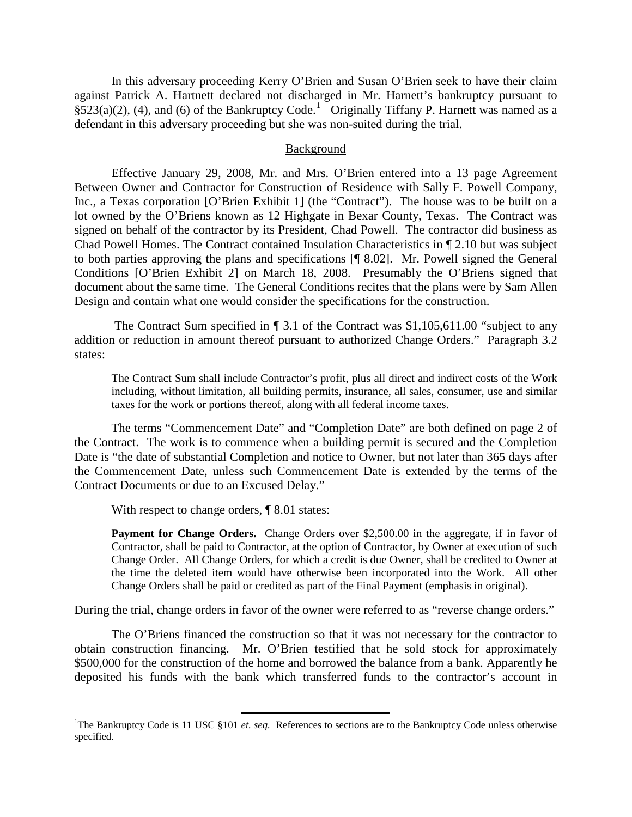In this adversary proceeding Kerry O'Brien and Susan O'Brien seek to have their claim against Patrick A. Hartnett declared not discharged in Mr. Harnett's bankruptcy pursuant to  $\S$ 523(a)(2), (4), and (6) of the Bankruptcy Code.<sup>[1](#page-1-0)</sup> Originally Tiffany P. Harnett was named as a defendant in this adversary proceeding but she was non-suited during the trial.

#### Background

Effective January 29, 2008, Mr. and Mrs. O'Brien entered into a 13 page Agreement Between Owner and Contractor for Construction of Residence with Sally F. Powell Company, Inc., a Texas corporation [O'Brien Exhibit 1] (the "Contract"). The house was to be built on a lot owned by the O'Briens known as 12 Highgate in Bexar County, Texas. The Contract was signed on behalf of the contractor by its President, Chad Powell. The contractor did business as Chad Powell Homes. The Contract contained Insulation Characteristics in ¶ 2.10 but was subject to both parties approving the plans and specifications [¶ 8.02]. Mr. Powell signed the General Conditions [O'Brien Exhibit 2] on March 18, 2008. Presumably the O'Briens signed that document about the same time. The General Conditions recites that the plans were by Sam Allen Design and contain what one would consider the specifications for the construction.

The Contract Sum specified in ¶ 3.1 of the Contract was \$1,105,611.00 "subject to any addition or reduction in amount thereof pursuant to authorized Change Orders." Paragraph 3.2 states:

The Contract Sum shall include Contractor's profit, plus all direct and indirect costs of the Work including, without limitation, all building permits, insurance, all sales, consumer, use and similar taxes for the work or portions thereof, along with all federal income taxes.

The terms "Commencement Date" and "Completion Date" are both defined on page 2 of the Contract. The work is to commence when a building permit is secured and the Completion Date is "the date of substantial Completion and notice to Owner, but not later than 365 days after the Commencement Date, unless such Commencement Date is extended by the terms of the Contract Documents or due to an Excused Delay."

With respect to change orders,  $\P$  8.01 states:

**Payment for Change Orders.** Change Orders over \$2,500.00 in the aggregate, if in favor of Contractor, shall be paid to Contractor, at the option of Contractor, by Owner at execution of such Change Order. All Change Orders, for which a credit is due Owner, shall be credited to Owner at the time the deleted item would have otherwise been incorporated into the Work. All other Change Orders shall be paid or credited as part of the Final Payment (emphasis in original).

During the trial, change orders in favor of the owner were referred to as "reverse change orders."

The O'Briens financed the construction so that it was not necessary for the contractor to obtain construction financing. Mr. O'Brien testified that he sold stock for approximately \$500,000 for the construction of the home and borrowed the balance from a bank. Apparently he deposited his funds with the bank which transferred funds to the contractor's account in

<span id="page-1-0"></span><sup>&</sup>lt;sup>1</sup>The Bankruptcy Code is 11 USC §101 *et. seq.* References to sections are to the Bankruptcy Code unless otherwise specified.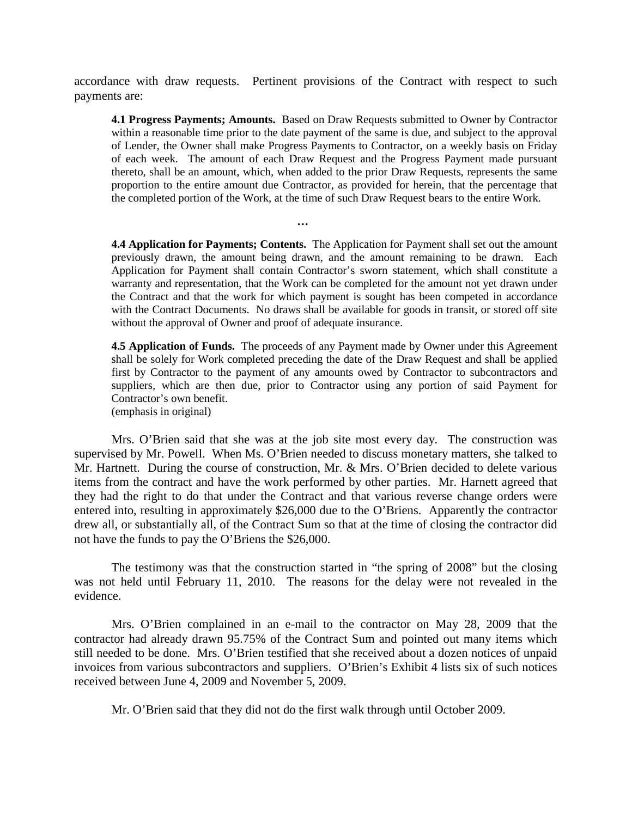accordance with draw requests. Pertinent provisions of the Contract with respect to such payments are:

**…**

**4.1 Progress Payments; Amounts.** Based on Draw Requests submitted to Owner by Contractor within a reasonable time prior to the date payment of the same is due, and subject to the approval of Lender, the Owner shall make Progress Payments to Contractor, on a weekly basis on Friday of each week. The amount of each Draw Request and the Progress Payment made pursuant thereto, shall be an amount, which, when added to the prior Draw Requests, represents the same proportion to the entire amount due Contractor, as provided for herein, that the percentage that the completed portion of the Work, at the time of such Draw Request bears to the entire Work.

**4.4 Application for Payments; Contents.** The Application for Payment shall set out the amount previously drawn, the amount being drawn, and the amount remaining to be drawn. Each Application for Payment shall contain Contractor's sworn statement, which shall constitute a warranty and representation, that the Work can be completed for the amount not yet drawn under the Contract and that the work for which payment is sought has been competed in accordance with the Contract Documents. No draws shall be available for goods in transit, or stored off site without the approval of Owner and proof of adequate insurance.

**4.5 Application of Funds.** The proceeds of any Payment made by Owner under this Agreement shall be solely for Work completed preceding the date of the Draw Request and shall be applied first by Contractor to the payment of any amounts owed by Contractor to subcontractors and suppliers, which are then due, prior to Contractor using any portion of said Payment for Contractor's own benefit. (emphasis in original)

Mrs. O'Brien said that she was at the job site most every day. The construction was supervised by Mr. Powell. When Ms. O'Brien needed to discuss monetary matters, she talked to Mr. Hartnett. During the course of construction, Mr. & Mrs. O'Brien decided to delete various items from the contract and have the work performed by other parties. Mr. Harnett agreed that they had the right to do that under the Contract and that various reverse change orders were entered into, resulting in approximately \$26,000 due to the O'Briens. Apparently the contractor drew all, or substantially all, of the Contract Sum so that at the time of closing the contractor did not have the funds to pay the O'Briens the \$26,000.

The testimony was that the construction started in "the spring of 2008" but the closing was not held until February 11, 2010. The reasons for the delay were not revealed in the evidence.

Mrs. O'Brien complained in an e-mail to the contractor on May 28, 2009 that the contractor had already drawn 95.75% of the Contract Sum and pointed out many items which still needed to be done. Mrs. O'Brien testified that she received about a dozen notices of unpaid invoices from various subcontractors and suppliers. O'Brien's Exhibit 4 lists six of such notices received between June 4, 2009 and November 5, 2009.

Mr. O'Brien said that they did not do the first walk through until October 2009.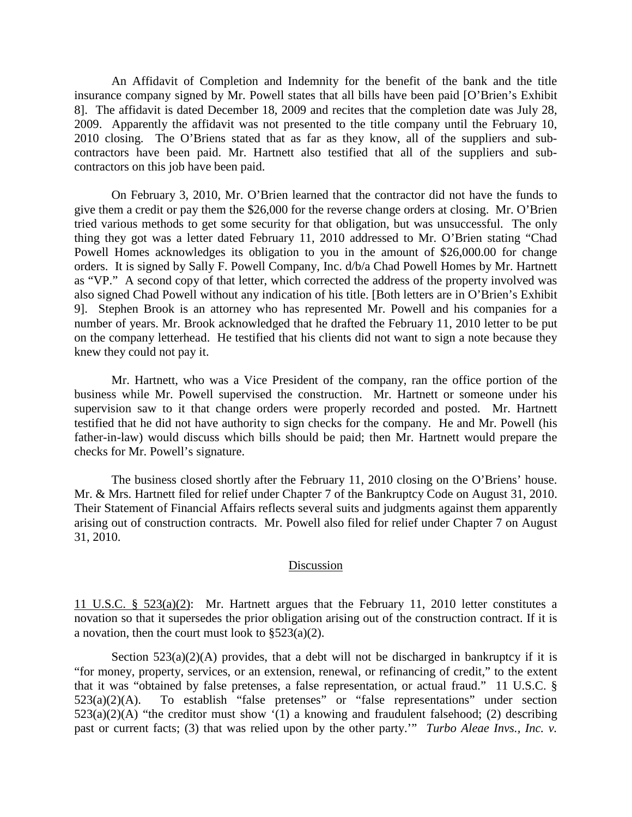An Affidavit of Completion and Indemnity for the benefit of the bank and the title insurance company signed by Mr. Powell states that all bills have been paid [O'Brien's Exhibit 8]. The affidavit is dated December 18, 2009 and recites that the completion date was July 28, 2009. Apparently the affidavit was not presented to the title company until the February 10, 2010 closing. The O'Briens stated that as far as they know, all of the suppliers and subcontractors have been paid. Mr. Hartnett also testified that all of the suppliers and subcontractors on this job have been paid.

On February 3, 2010, Mr. O'Brien learned that the contractor did not have the funds to give them a credit or pay them the \$26,000 for the reverse change orders at closing. Mr. O'Brien tried various methods to get some security for that obligation, but was unsuccessful. The only thing they got was a letter dated February 11, 2010 addressed to Mr. O'Brien stating "Chad Powell Homes acknowledges its obligation to you in the amount of \$26,000.00 for change orders. It is signed by Sally F. Powell Company, Inc. d/b/a Chad Powell Homes by Mr. Hartnett as "VP." A second copy of that letter, which corrected the address of the property involved was also signed Chad Powell without any indication of his title. [Both letters are in O'Brien's Exhibit 9]. Stephen Brook is an attorney who has represented Mr. Powell and his companies for a number of years. Mr. Brook acknowledged that he drafted the February 11, 2010 letter to be put on the company letterhead. He testified that his clients did not want to sign a note because they knew they could not pay it.

Mr. Hartnett, who was a Vice President of the company, ran the office portion of the business while Mr. Powell supervised the construction. Mr. Hartnett or someone under his supervision saw to it that change orders were properly recorded and posted. Mr. Hartnett testified that he did not have authority to sign checks for the company. He and Mr. Powell (his father-in-law) would discuss which bills should be paid; then Mr. Hartnett would prepare the checks for Mr. Powell's signature.

The business closed shortly after the February 11, 2010 closing on the O'Briens' house. Mr. & Mrs. Hartnett filed for relief under Chapter 7 of the Bankruptcy Code on August 31, 2010. Their Statement of Financial Affairs reflects several suits and judgments against them apparently arising out of construction contracts. Mr. Powell also filed for relief under Chapter 7 on August 31, 2010.

## **Discussion**

11 U.S.C. § 523(a)(2): Mr. Hartnett argues that the February 11, 2010 letter constitutes a novation so that it supersedes the prior obligation arising out of the construction contract. If it is a novation, then the court must look to §523(a)(2).

Section  $523(a)(2)(A)$  provides, that a debt will not be discharged in bankruptcy if it is "for money, property, services, or an extension, renewal, or refinancing of credit," to the extent that it was "obtained by false pretenses, a false representation, or actual fraud." 11 U.S.C. §  $523(a)(2)(A)$ . To establish "false pretenses" or "false representations" under section  $523(a)(2)(A)$  "the creditor must show '(1) a knowing and fraudulent falsehood; (2) describing past or current facts; (3) that was relied upon by the other party.'" *Turbo Aleae Invs., Inc. v.*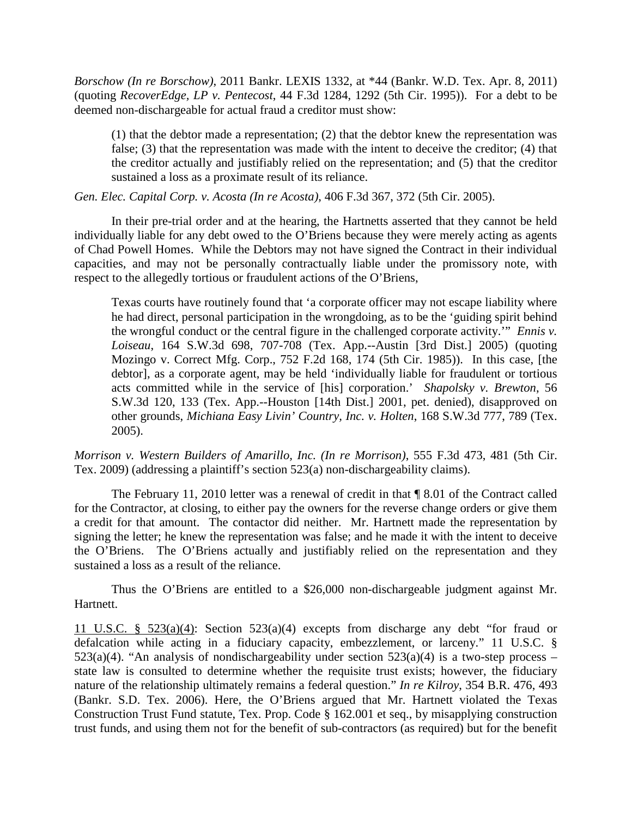*Borschow (In re Borschow)*, 2011 Bankr. LEXIS 1332, at \*44 (Bankr. W.D. Tex. Apr. 8, 2011) (quoting *RecoverEdge, LP v. Pentecost*, 44 F.3d 1284, 1292 (5th Cir. 1995)). For a debt to be deemed non-dischargeable for actual fraud a creditor must show:

(1) that the debtor made a representation; (2) that the debtor knew the representation was false; (3) that the representation was made with the intent to deceive the creditor; (4) that the creditor actually and justifiably relied on the representation; and (5) that the creditor sustained a loss as a proximate result of its reliance.

*[Gen. Elec. Capital Corp. v. Acosta \(In re Acosta\)](https://www.lexis.com/research/buttonTFLink?_m=7dc6df301b34134f2ef9dc45fd2e6d28&_xfercite=%3ccite%20cc%3d%22USA%22%3e%3c%21%5bCDATA%5b2011%20Bankr.%20LEXIS%201042%5d%5d%3e%3c%2fcite%3e&_butType=3&_butStat=2&_butNum=145&_butInline=1&_butinfo=%3ccite%20cc%3d%22USA%22%3e%3c%21%5bCDATA%5b406%20F.3d%20367%2c%20372%5d%5d%3e%3c%2fcite%3e&_fmtstr=FULL&docnum=1&_startdoc=1&wchp=dGLbVtb-zSkAA&_md5=91362b81604f16d3ccec035ba42ecccf)*, 406 F.3d 367, 372 (5th Cir. 2005).

In their pre-trial order and at the hearing, the Hartnetts asserted that they cannot be held individually liable for any debt owed to the O'Briens because they were merely acting as agents of Chad Powell Homes. While the Debtors may not have signed the Contract in their individual capacities, and may not be personally contractually liable under the promissory note, with respect to the allegedly tortious or fraudulent actions of the O'Briens,

Texas courts have routinely found that 'a corporate officer may not escape liability where he had direct, personal participation in the wrongdoing, as to be the 'guiding spirit behind the wrongful conduct or the central figure in the challenged corporate activity.'" *Ennis v. Loiseau*, 164 S.W.3d 698, 707-708 (Tex. App.--Austin [3rd Dist.] 2005) (quoting Mozingo v. Correct Mfg. Corp., 752 F.2d 168, 174 (5th Cir. 1985)). In this case, [the debtor], as a corporate agent, may be held 'individually liable for fraudulent or tortious acts committed while in the service of [his] corporation.' *Shapolsky v. Brewton*, 56 S.W.3d 120, 133 (Tex. App.--Houston [14th Dist.] 2001, pet. denied), disapproved on other grounds, *Michiana Easy Livin' Country, Inc. v. Holten*, 168 S.W.3d 777, 789 (Tex. 2005).

*Morrison v. Western Builders of Amarillo, Inc. (In re Morrison)*, 555 F.3d 473, 481 (5th Cir. Tex. 2009) (addressing a plaintiff's section 523(a) non-dischargeability claims).

The February 11, 2010 letter was a renewal of credit in that ¶ 8.01 of the Contract called for the Contractor, at closing, to either pay the owners for the reverse change orders or give them a credit for that amount. The contactor did neither. Mr. Hartnett made the representation by signing the letter; he knew the representation was false; and he made it with the intent to deceive the O'Briens. The O'Briens actually and justifiably relied on the representation and they sustained a loss as a result of the reliance.

Thus the O'Briens are entitled to a \$26,000 non-dischargeable judgment against Mr. Hartnett.

11 U.S.C. § 523(a)(4): Section 523(a)(4) excepts from discharge any debt "for fraud or defalcation while acting in a fiduciary capacity, embezzlement, or larceny." 11 U.S.C. §  $523(a)(4)$ . "An analysis of nondischargeability under section  $523(a)(4)$  is a two-step process – state law is consulted to determine whether the requisite trust exists; however, the fiduciary nature of the relationship ultimately remains a federal question." *In re Kilroy*, 354 B.R. 476, 493 (Bankr. S.D. Tex. 2006). Here, the O'Briens argued that Mr. Hartnett violated the Texas Construction Trust Fund statute, Tex. Prop. Code § 162.001 et seq., by misapplying construction trust funds, and using them not for the benefit of sub-contractors (as required) but for the benefit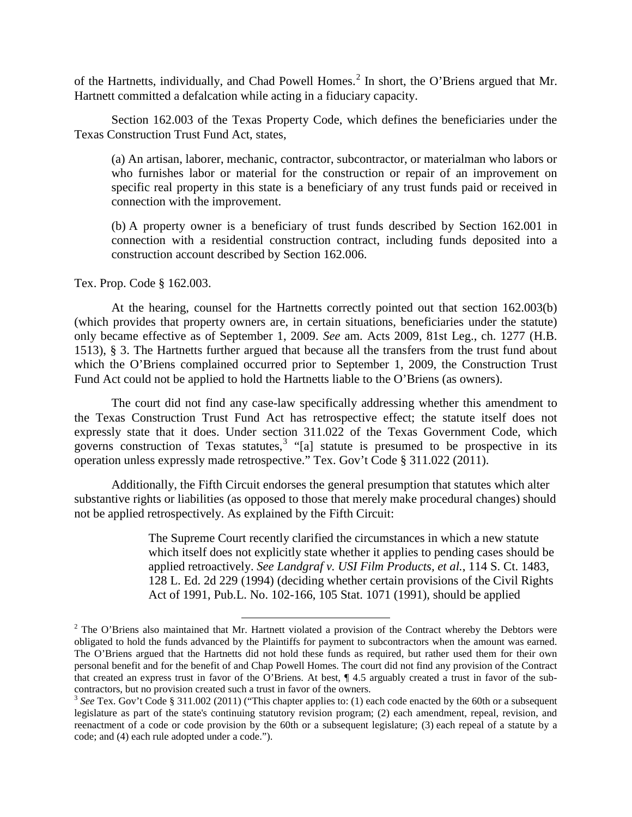of the Hartnetts, individually, and Chad Powell Homes.<sup>[2](#page-5-0)</sup> In short, the O'Briens argued that Mr. Hartnett committed a defalcation while acting in a fiduciary capacity.

Section 162.003 of the Texas Property Code, which defines the beneficiaries under the Texas Construction Trust Fund Act, states,

(a) An artisan, laborer, mechanic, contractor, subcontractor, or materialman who labors or who furnishes labor or material for the construction or repair of an improvement on specific real property in this state is a beneficiary of any trust funds paid or received in connection with the improvement.

(b) A property owner is a beneficiary of trust funds described by Section 162.001 in connection with a residential construction contract, including funds deposited into a construction account described by Section 162.006.

## Tex. Prop. Code § 162.003.

At the hearing, counsel for the Hartnetts correctly pointed out that section 162.003(b) (which provides that property owners are, in certain situations, beneficiaries under the statute) only became effective as of September 1, 2009. *See* am. Acts 2009, 81st Leg., ch. 1277 (H.B. 1513), § 3. The Hartnetts further argued that because all the transfers from the trust fund about which the O'Briens complained occurred prior to September 1, 2009, the Construction Trust Fund Act could not be applied to hold the Hartnetts liable to the O'Briens (as owners).

The court did not find any case-law specifically addressing whether this amendment to the Texas Construction Trust Fund Act has retrospective effect; the statute itself does not expressly state that it does. Under section 311.022 of the Texas Government Code, which governs construction of Texas statutes,<sup>[3](#page-5-1)</sup> "[a] statute is presumed to be prospective in its operation unless expressly made retrospective." Tex. Gov't Code § 311.022 (2011).

Additionally, the Fifth Circuit endorses the general presumption that statutes which alter substantive rights or liabilities (as opposed to those that merely make procedural changes) should not be applied retrospectively. As explained by the Fifth Circuit:

> The Supreme Court recently clarified the circumstances in which a new statute which itself does not explicitly state whether it applies to pending cases should be applied retroactively. *See Landgraf v. USI Film Products, et al.*, 114 S. Ct. 1483, 128 L. Ed. 2d 229 (1994) (deciding whether certain provisions of the Civil Rights Act of 1991, Pub.L. No. 102-166, 105 Stat. 1071 (1991), should be applied

<span id="page-5-0"></span><sup>&</sup>lt;sup>2</sup> The O'Briens also maintained that Mr. Hartnett violated a provision of the Contract whereby the Debtors were obligated to hold the funds advanced by the Plaintiffs for payment to subcontractors when the amount was earned. The O'Briens argued that the Hartnetts did not hold these funds as required, but rather used them for their own personal benefit and for the benefit of and Chap Powell Homes. The court did not find any provision of the Contract that created an express trust in favor of the O'Briens. At best, ¶ 4.5 arguably created a trust in favor of the subcontractors, but no provision created such a trust in favor of the owners.

<span id="page-5-1"></span><sup>3</sup> *See* Tex. Gov't Code § 311.002 (2011) ("This chapter applies to: (1) each code enacted by the 60th or a subsequent legislature as part of the state's continuing statutory revision program; (2) each amendment, repeal, revision, and reenactment of a code or code provision by the 60th or a subsequent legislature; (3) each repeal of a statute by a code; and (4) each rule adopted under a code.").